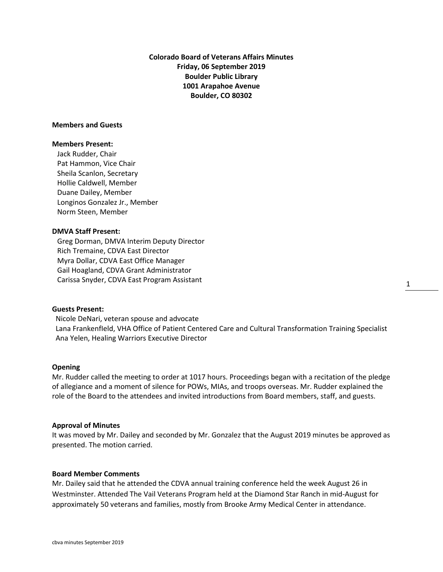**Colorado Board of Veterans Affairs Minutes Friday, 06 September 2019 Boulder Public Library 1001 Arapahoe Avenue Boulder, CO 80302**

## **Members and Guests**

## **Members Present:**

Jack Rudder, Chair Pat Hammon, Vice Chair Sheila Scanlon, Secretary Hollie Caldwell, Member Duane Dailey, Member Longinos Gonzalez Jr., Member Norm Steen, Member

## **DMVA Staff Present:**

Greg Dorman, DMVA Interim Deputy Director Rich Tremaine, CDVA East Director Myra Dollar, CDVA East Office Manager Gail Hoagland, CDVA Grant Administrator Carissa Snyder, CDVA East Program Assistant

## **Guests Present:**

 Nicole DeNari, veteran spouse and advocate Lana FrankenfIeld, VHA Office of Patient Centered Care and Cultural Transformation Training Specialist Ana Yelen, Healing Warriors Executive Director

#### **Opening**

Mr. Rudder called the meeting to order at 1017 hours. Proceedings began with a recitation of the pledge of allegiance and a moment of silence for POWs, MIAs, and troops overseas. Mr. Rudder explained the role of the Board to the attendees and invited introductions from Board members, staff, and guests.

#### **Approval of Minutes**

It was moved by Mr. Dailey and seconded by Mr. Gonzalez that the August 2019 minutes be approved as presented. The motion carried.

#### **Board Member Comments**

Mr. Dailey said that he attended the CDVA annual training conference held the week August 26 in Westminster. Attended The Vail Veterans Program held at the Diamond Star Ranch in mid-August for approximately 50 veterans and families, mostly from Brooke Army Medical Center in attendance.

1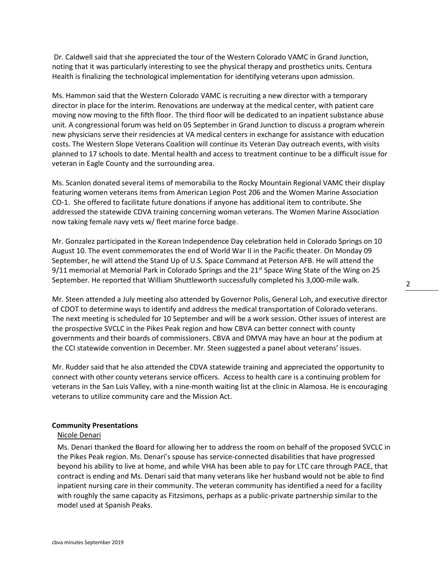Dr. Caldwell said that she appreciated the tour of the Western Colorado VAMC in Grand Junction, noting that it was particularly interesting to see the physical therapy and prosthetics units. Centura Health is finalizing the technological implementation for identifying veterans upon admission.

Ms. Hammon said that the Western Colorado VAMC is recruiting a new director with a temporary director in place for the interim. Renovations are underway at the medical center, with patient care moving now moving to the fifth floor. The third floor will be dedicated to an inpatient substance abuse unit. A congressional forum was held on 05 September in Grand Junction to discuss a program wherein new physicians serve their residencies at VA medical centers in exchange for assistance with education costs. The Western Slope Veterans Coalition will continue its Veteran Day outreach events, with visits planned to 17 schools to date. Mental health and access to treatment continue to be a difficult issue for veteran in Eagle County and the surrounding area.

Ms. Scanlon donated several items of memorabilia to the Rocky Mountain Regional VAMC their display featuring women veterans items from American Legion Post 206 and the Women Marine Association CO-1. She offered to facilitate future donations if anyone has additional item to contribute. She addressed the statewide CDVA training concerning woman veterans. The Women Marine Association now taking female navy vets w/ fleet marine force badge.

Mr. Gonzalez participated in the Korean Independence Day celebration held in Colorado Springs on 10 August 10. The event commemorates the end of World War II in the Pacific theater. On Monday 09 September, he will attend the Stand Up of U.S. Space Command at Peterson AFB. He will attend the 9/11 memorial at Memorial Park in Colorado Springs and the  $21^{st}$  Space Wing State of the Wing on 25 September. He reported that William Shuttleworth successfully completed his 3,000-mile walk.

Mr. Steen attended a July meeting also attended by Governor Polis, General Loh, and executive director of CDOT to determine ways to identify and address the medical transportation of Colorado veterans. The next meeting is scheduled for 10 September and will be a work session. Other issues of interest are the prospective SVCLC in the Pikes Peak region and how CBVA can better connect with county governments and their boards of commissioners. CBVA and DMVA may have an hour at the podium at the CCI statewide convention in December. Mr. Steen suggested a panel about veterans' issues.

Mr. Rudder said that he also attended the CDVA statewide training and appreciated the opportunity to connect with other county veterans service officers. Access to health care is a continuing problem for veterans in the San Luis Valley, with a nine-month waiting list at the clinic in Alamosa. He is encouraging veterans to utilize community care and the Mission Act.

### **Community Presentations**

#### Nicole Denari

Ms. Denari thanked the Board for allowing her to address the room on behalf of the proposed SVCLC in the Pikes Peak region. Ms. Denari's spouse has service-connected disabilities that have progressed beyond his ability to live at home, and while VHA has been able to pay for LTC care through PACE, that contract is ending and Ms. Denari said that many veterans like her husband would not be able to find inpatient nursing care in their community. The veteran community has identified a need for a facility with roughly the same capacity as Fitzsimons, perhaps as a public-private partnership similar to the model used at Spanish Peaks.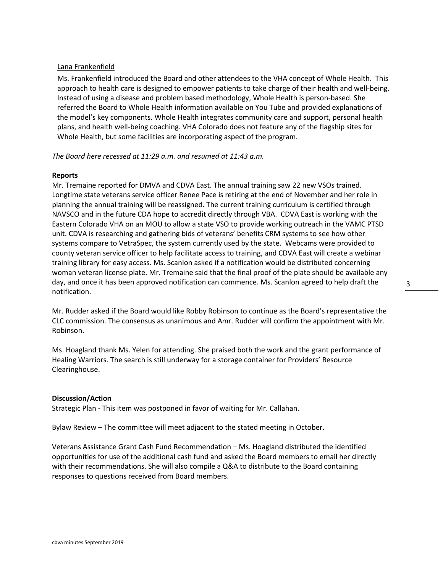## Lana Frankenfield

Ms. Frankenfield introduced the Board and other attendees to the VHA concept of Whole Health. This approach to health care is designed to empower patients to take charge of their health and well-being. Instead of using a disease and problem based methodology, Whole Health is person-based. She referred the Board to Whole Health information available on You Tube and provided explanations of the model's key components. Whole Health integrates community care and support, personal health plans, and health well-being coaching. VHA Colorado does not feature any of the flagship sites for Whole Health, but some facilities are incorporating aspect of the program.

*The Board here recessed at 11:29 a.m. and resumed at 11:43 a.m.*

# **Reports**

Mr. Tremaine reported for DMVA and CDVA East. The annual training saw 22 new VSOs trained. Longtime state veterans service officer Renee Pace is retiring at the end of November and her role in planning the annual training will be reassigned. The current training curriculum is certified through NAVSCO and in the future CDA hope to accredit directly through VBA. CDVA East is working with the Eastern Colorado VHA on an MOU to allow a state VSO to provide working outreach in the VAMC PTSD unit. CDVA is researching and gathering bids of veterans' benefits CRM systems to see how other systems compare to VetraSpec, the system currently used by the state. Webcams were provided to county veteran service officer to help facilitate access to training, and CDVA East will create a webinar training library for easy access. Ms. Scanlon asked if a notification would be distributed concerning woman veteran license plate. Mr. Tremaine said that the final proof of the plate should be available any day, and once it has been approved notification can commence. Ms. Scanlon agreed to help draft the notification.

Mr. Rudder asked if the Board would like Robby Robinson to continue as the Board's representative the CLC commission. The consensus as unanimous and Amr. Rudder will confirm the appointment with Mr. Robinson.

Ms. Hoagland thank Ms. Yelen for attending. She praised both the work and the grant performance of Healing Warriors. The search is still underway for a storage container for Providers' Resource Clearinghouse.

## **Discussion/Action**

Strategic Plan - This item was postponed in favor of waiting for Mr. Callahan.

Bylaw Review – The committee will meet adjacent to the stated meeting in October.

Veterans Assistance Grant Cash Fund Recommendation – Ms. Hoagland distributed the identified opportunities for use of the additional cash fund and asked the Board members to email her directly with their recommendations. She will also compile a Q&A to distribute to the Board containing responses to questions received from Board members.